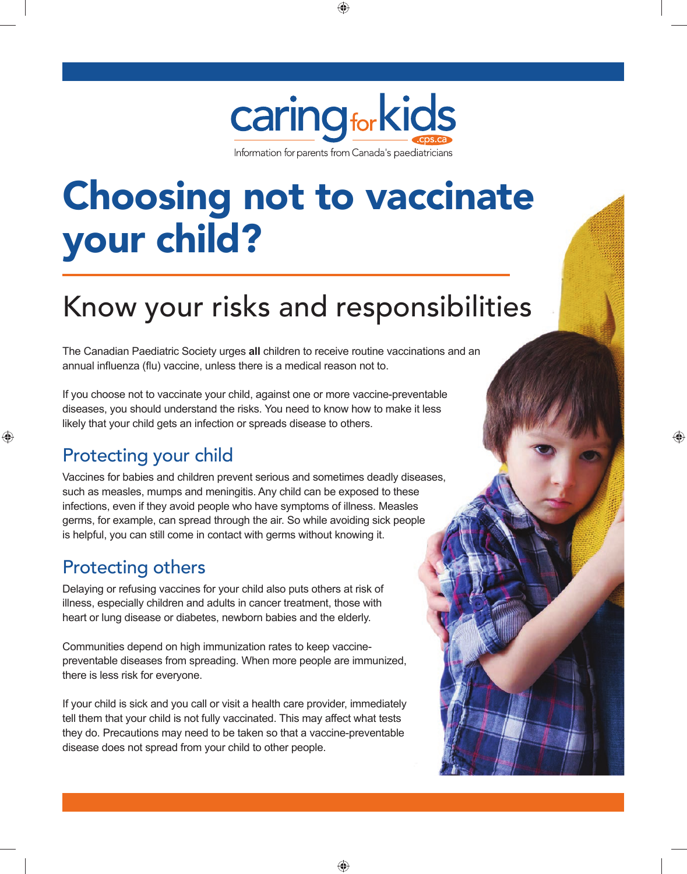

# Choosing not to vaccinate your child?

# Know your risks and responsibilities

The Canadian Paediatric Society urges **all** children to receive routine vaccinations and an annual influenza (flu) vaccine, unless there is a medical reason not to.

If you choose not to vaccinate your child, against one or more vaccine-preventable diseases, you should understand the risks. You need to know how to make it less likely that your child gets an infection or spreads disease to others.

## Protecting your child

Vaccines for babies and children prevent serious and sometimes deadly diseases, such as measles, mumps and meningitis. Any child can be exposed to these infections, even if they avoid people who have symptoms of illness. Measles germs, for example, can spread through the air. So while avoiding sick people is helpful, you can still come in contact with germs without knowing it.

### Protecting others

Delaying or refusing vaccines for your child also puts others at risk of illness, especially children and adults in cancer treatment, those with heart or lung disease or diabetes, newborn babies and the elderly.

Communities depend on high immunization rates to keep vaccinepreventable diseases from spreading. When more people are immunized, there is less risk for everyone.

If your child is sick and you call or visit a health care provider, immediately tell them that your child is not fully vaccinated. This may affect what tests they do. Precautions may need to be taken so that a vaccine-preventable disease does not spread from your child to other people.